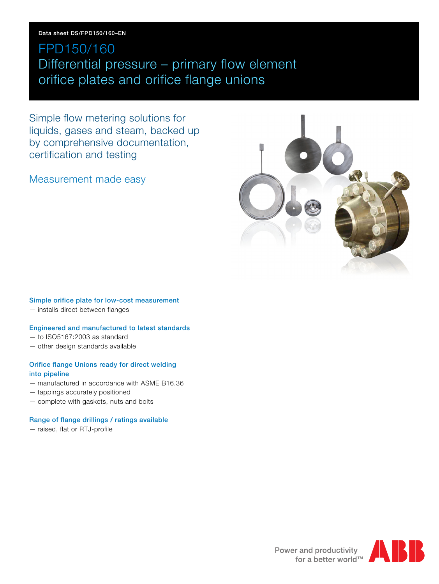### **Data sheet DS/FPD150/160–EN**

## FPD150/160 Differential pressure – primary flow element orifice plates and orifice flange unions

Simple flow metering solutions for liquids, gases and steam, backed up by comprehensive documentation, certification and testing

Measurement made easy



### **Simple orifice plate for low-cost measurement**

— installs direct between flanges

### **Engineered and manufactured to latest standards**

- to ISO5167:2003 as standard
- other design standards available

### **Orifice flange Unions ready for direct welding into pipeline**

- manufactured in accordance with ASME B16.36
- tappings accurately positioned
- complete with gaskets, nuts and bolts

### **Range of flange drillings / ratings available**

— raised, flat or RTJ-profile



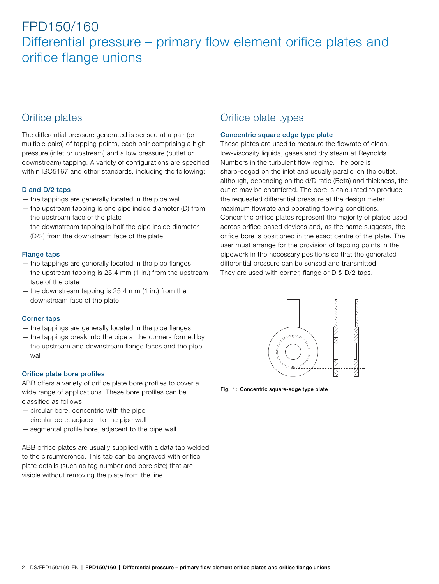### Orifice plates

The differential pressure generated is sensed at a pair (or multiple pairs) of tapping points, each pair comprising a high pressure (inlet or upstream) and a low pressure (outlet or downstream) tapping. A variety of configurations are specified within ISO5167 and other standards, including the following:

### **D and D/2 taps**

- the tappings are generally located in the pipe wall
- the upstream tapping is one pipe inside diameter (D) from the upstream face of the plate
- the downstream tapping is half the pipe inside diameter (D/2) from the downstream face of the plate

### **Flange taps**

- the tappings are generally located in the pipe flanges
- the upstream tapping is 25.4 mm (1 in.) from the upstream face of the plate
- the downstream tapping is 25.4 mm (1 in.) from the downstream face of the plate

### **Corner taps**

- the tappings are generally located in the pipe flanges
- the tappings break into the pipe at the corners formed by the upstream and downstream flange faces and the pipe wall

### **Orifice plate bore profiles**

ABB offers a variety of orifice plate bore profiles to cover a wide range of applications. These bore profiles can be classified as follows:

- circular bore, concentric with the pipe
- circular bore, adjacent to the pipe wall
- segmental profile bore, adjacent to the pipe wall

ABB orifice plates are usually supplied with a data tab welded to the circumference. This tab can be engraved with orifice plate details (such as tag number and bore size) that are visible without removing the plate from the line.

### Orifice plate types

### **Concentric square edge type plate**

These plates are used to measure the flowrate of clean, low-viscosity liquids, gases and dry steam at Reynolds Numbers in the turbulent flow regime. The bore is sharp-edged on the inlet and usually parallel on the outlet, although, depending on the d/D ratio (Beta) and thickness, the outlet may be chamfered. The bore is calculated to produce the requested differential pressure at the design meter maximum flowrate and operating flowing conditions. Concentric orifice plates represent the majority of plates used across orifice-based devices and, as the name suggests, the orifice bore is positioned in the exact centre of the plate. The user must arrange for the provision of tapping points in the pipework in the necessary positions so that the generated differential pressure can be sensed and transmitted. They are used with corner, flange or D & D/2 taps.



**Fig. 1: Concentric square-edge type plate**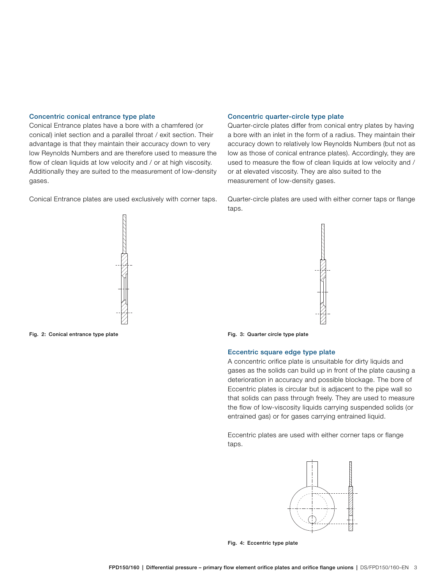#### **Concentric conical entrance type plate**

Conical Entrance plates have a bore with a chamfered (or conical) inlet section and a parallel throat / exit section. Their advantage is that they maintain their accuracy down to very low Reynolds Numbers and are therefore used to measure the flow of clean liquids at low velocity and / or at high viscosity. Additionally they are suited to the measurement of low-density gases.

Conical Entrance plates are used exclusively with corner taps.

### accuracy down to relatively low Reynolds Numbers (but not as low as those of conical entrance plates). Accordingly, they are used to measure the flow of clean liquids at low velocity and /

or at elevated viscosity. They are also suited to the measurement of low-density gases.

**Concentric quarter-circle type plate**

Quarter-circle plates are used with either corner taps or flange taps.

Quarter-circle plates differ from conical entry plates by having a bore with an inlet in the form of a radius. They maintain their



**Fig. 2: Conical entrance type plate Fig. 3: Quarter circle type plate**





#### **Eccentric square edge type plate**

A concentric orifice plate is unsuitable for dirty liquids and gases as the solids can build up in front of the plate causing a deterioration in accuracy and possible blockage. The bore of Eccentric plates is circular but is adjacent to the pipe wall so that solids can pass through freely. They are used to measure the flow of low-viscosity liquids carrying suspended solids (or entrained gas) or for gases carrying entrained liquid.

Eccentric plates are used with either corner taps or flange taps.



**Fig. 4: Eccentric type plate**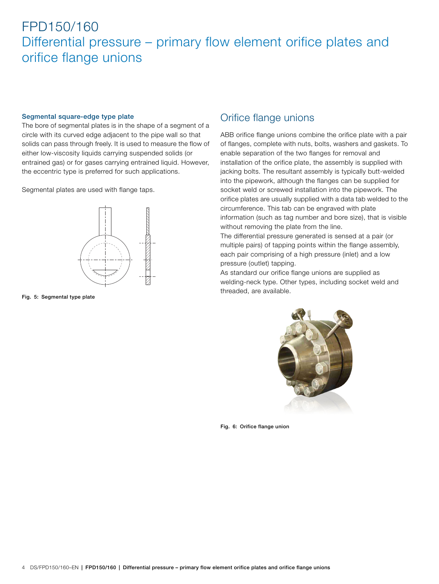#### **Segmental square-edge type plate**

The bore of segmental plates is in the shape of a segment of a circle with its curved edge adjacent to the pipe wall so that solids can pass through freely. It is used to measure the flow of either low-viscosity liquids carrying suspended solids (or entrained gas) or for gases carrying entrained liquid. However, the eccentric type is preferred for such applications.

Segmental plates are used with flange taps.



**Fig. 5: Segmental type plate**

### Orifice flange unions

ABB orifice flange unions combine the orifice plate with a pair of flanges, complete with nuts, bolts, washers and gaskets. To enable separation of the two flanges for removal and installation of the orifice plate, the assembly is supplied with jacking bolts. The resultant assembly is typically butt-welded into the pipework, although the flanges can be supplied for socket weld or screwed installation into the pipework. The orifice plates are usually supplied with a data tab welded to the circumference. This tab can be engraved with plate information (such as tag number and bore size), that is visible without removing the plate from the line.

The differential pressure generated is sensed at a pair (or multiple pairs) of tapping points within the flange assembly, each pair comprising of a high pressure (inlet) and a low pressure (outlet) tapping.

As standard our orifice flange unions are supplied as welding-neck type. Other types, including socket weld and threaded, are available.



**Fig. 6: Orifice flange union**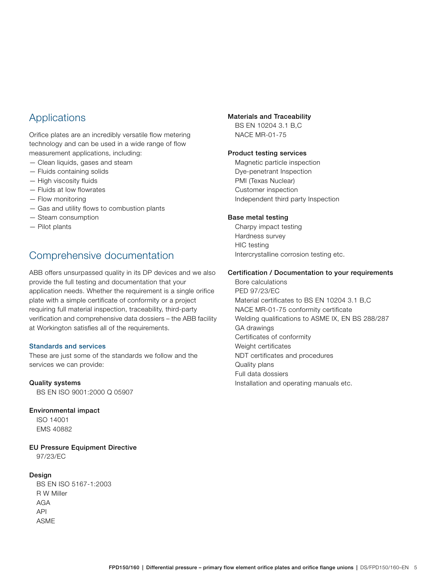### Applications

Orifice plates are an incredibly versatile flow metering technology and can be used in a wide range of flow measurement applications, including:

- Clean liquids, gases and steam
- Fluids containing solids
- High viscosity fluids
- Fluids at low flowrates
- Flow monitoring
- Gas and utility flows to combustion plants
- Steam consumption
- Pilot plants

### Comprehensive documentation

ABB offers unsurpassed quality in its DP devices and we also provide the full testing and documentation that your application needs. Whether the requirement is a single orifice plate with a simple certificate of conformity or a project requiring full material inspection, traceability, third-party verification and comprehensive data dossiers – the ABB facility at Workington satisfies all of the requirements.

### **Standards and services**

These are just some of the standards we follow and the services we can provide:

#### **Quality systems**

BS EN ISO 9001:2000 Q 05907

#### **Environmental impact**

ISO 14001 EMS 40882

**EU Pressure Equipment Directive**

97/23/EC

### **Design**

BS EN ISO 5167-1:2003 R W Miller AGA API ASME

#### **Materials and Traceability**

BS EN 10204 3.1 B,C NACE MR-01-75

#### **Product testing services**

Magnetic particle inspection Dye-penetrant Inspection PMI (Texas Nuclear) Customer inspection Independent third party Inspection

#### **Base metal testing**

Charpy impact testing Hardness survey HIC testing Intercrystalline corrosion testing etc.

#### **Certification / Documentation to your requirements**

Bore calculations PED 97/23/EC Material certificates to BS EN 10204 3.1 B,C NACE MR-01-75 conformity certificate Welding qualifications to ASME IX, EN BS 288/287 GA drawings Certificates of conformity Weight certificates NDT certificates and procedures Quality plans Full data dossiers Installation and operating manuals etc.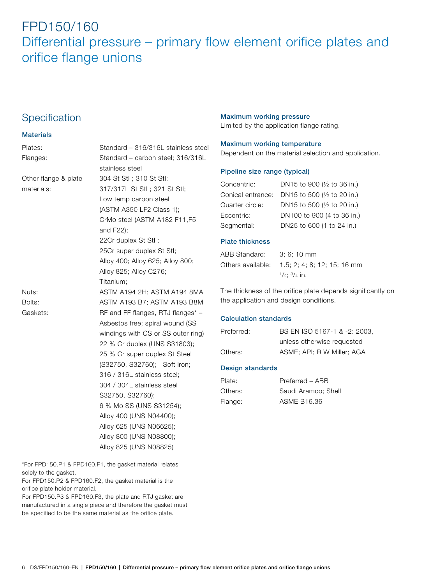### **Specification**

### **Materials**

| Plates:              | Standard - 316/316L stainless steel |
|----------------------|-------------------------------------|
| Flanges:             | Standard - carbon steel; 316/316L   |
|                      | stainless steel                     |
| Other flange & plate | 304 St Stl; 310 St Stl;             |
| materials:           | 317/317L St Stl; 321 St Stl;        |
|                      | Low temp carbon steel               |
|                      | (ASTM A350 LF2 Class 1);            |
|                      | CrMo steel (ASTM A182 F11,F5        |
|                      | and F22);                           |
|                      | 22Cr duplex St Stl;                 |
|                      | 25Cr super duplex St Stl;           |
|                      | Alloy 400; Alloy 625; Alloy 800;    |
|                      | Alloy 825; Alloy C276;              |
|                      | Titanium:                           |
| Nuts:                | ASTM A194 2H; ASTM A194 8MA         |
| Bolts:               | ASTM A193 B7; ASTM A193 B8M         |
| Gaskets:             | RF and FF flanges, RTJ flanges* -   |
|                      | Asbestos free; spiral wound (SS     |
|                      | windings with CS or SS outer ring)  |
|                      | 22 % Cr duplex (UNS S31803);        |
|                      | 25 % Cr super duplex St Steel       |
|                      | (S32750, S32760); Soft iron;        |
|                      | 316 / 316L stainless steel:         |
|                      | 304 / 304L stainless steel          |
|                      | S32750, S32760);                    |
|                      | 6 % Mo SS (UNS S31254);             |
|                      | Alloy 400 (UNS N04400);             |
|                      | Alloy 625 (UNS N06625);             |
|                      | Alloy 800 (UNS N08800);             |
|                      | Alloy 825 (UNS N08825)              |
|                      |                                     |

\*For FPD150.P1 & FPD160.F1, the gasket material relates solely to the gasket.

For FPD150.P2 & FPD160.F2, the gasket material is the orifice plate holder material.

For FPD150.P3 & FPD160.F3, the plate and RTJ gasket are manufactured in a single piece and therefore the gasket must be specified to be the same material as the orifice plate.

### **Maximum working pressure**

Limited by the application flange rating.

### **Maximum working temperature**

Dependent on the material selection and application.

### **Pipeline size range (typical)**

| Concentric:       | DN15 to 900 (1/2 to 36 in.) |
|-------------------|-----------------------------|
| Conical entrance: | DN15 to 500 (1/2 to 20 in.) |
| Quarter circle:   | DN15 to 500 (1/2 to 20 in.) |
| Eccentric:        | DN100 to 900 (4 to 36 in.)  |
| Segmental:        | DN25 to 600 (1 to 24 in.)   |

### **Plate thickness**

| ABB Standard: | $3:6:10 \text{ mm}$                           |
|---------------|-----------------------------------------------|
|               | Others available: 1.5: 2: 4: 8: 12: 15: 16 mm |
|               | $\frac{1}{2}$ : $\frac{3}{4}$ in.             |

The thickness of the orifice plate depends significantly on the application and design conditions.

### **Calculation standards**

| Preferred: | BS EN ISO 5167-1 & -2: 2003, |
|------------|------------------------------|
|            | unless otherwise requested   |
| Others:    | ASME; API; R W Miller; AGA   |

### **Design standards**

| Plate:  | Preferred - ABB     |
|---------|---------------------|
| Others: | Saudi Aramco; Shell |
| Flange: | ASME B16.36         |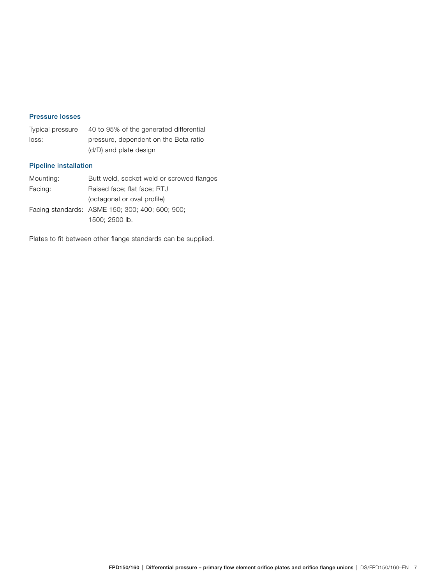#### **Pressure losses**

| Typical pressure | 40 to 95% of the generated differential |
|------------------|-----------------------------------------|
| loss:            | pressure, dependent on the Beta ratio   |
|                  | (d/D) and plate design                  |

### **Pipeline installation**

| Mounting: | Butt weld, socket weld or screwed flanges       |
|-----------|-------------------------------------------------|
| Facing:   | Raised face; flat face; RTJ                     |
|           | (octagonal or oval profile)                     |
|           | Facing standards: ASME 150; 300; 400; 600; 900; |
|           | 1500; 2500 lb.                                  |

Plates to fit between other flange standards can be supplied.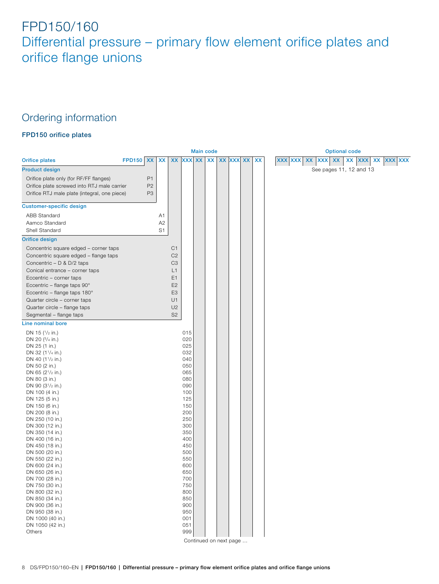### Ordering information

### **FPD150 orifice plates**

<span id="page-7-0"></span>

|                                              |               |                |                |                |               | <b>Main code</b> |    |    |               |    |                                                     | <b>Optional code</b>    |                         |                          |
|----------------------------------------------|---------------|----------------|----------------|----------------|---------------|------------------|----|----|---------------|----|-----------------------------------------------------|-------------------------|-------------------------|--------------------------|
| <b>Orifice plates</b>                        | <b>FPD150</b> | <b>XX</b>      | XX             | <b>XX</b>      | <b>XXX XX</b> |                  | XX | XX | <b>XXX XX</b> | XX | <b>XXX</b><br><b>XX</b><br><b>XXX</b><br><b>XXX</b> | <b>XX</b><br><b>XX</b>  | <b>XXX</b><br><b>XX</b> | <b>XXX</b><br><b>XXX</b> |
| <b>Product design</b>                        |               |                |                |                |               |                  |    |    |               |    |                                                     | See pages 11, 12 and 13 |                         |                          |
| Orifice plate only (for RF/FF flanges)       |               | P1             |                |                |               |                  |    |    |               |    |                                                     |                         |                         |                          |
| Orifice plate screwed into RTJ male carrier  |               | P <sub>2</sub> |                |                |               |                  |    |    |               |    |                                                     |                         |                         |                          |
| Orifice RTJ male plate (integral, one piece) |               | P <sub>3</sub> |                |                |               |                  |    |    |               |    |                                                     |                         |                         |                          |
|                                              |               |                |                |                |               |                  |    |    |               |    |                                                     |                         |                         |                          |
| <b>Customer-specific design</b>              |               |                |                |                |               |                  |    |    |               |    |                                                     |                         |                         |                          |
| <b>ABB Standard</b>                          |               |                | A1             |                |               |                  |    |    |               |    |                                                     |                         |                         |                          |
| Aamco Standard                               |               |                | A2             |                |               |                  |    |    |               |    |                                                     |                         |                         |                          |
| Shell Standard                               |               |                | S <sub>1</sub> |                |               |                  |    |    |               |    |                                                     |                         |                         |                          |
| <b>Orifice design</b>                        |               |                |                |                |               |                  |    |    |               |    |                                                     |                         |                         |                          |
| Concentric square edged - corner taps        |               |                |                | C <sub>1</sub> |               |                  |    |    |               |    |                                                     |                         |                         |                          |
| Concentric square edged - flange taps        |               |                |                | C <sub>2</sub> |               |                  |    |    |               |    |                                                     |                         |                         |                          |
| Concentric - D & D/2 taps                    |               |                |                | C <sub>3</sub> |               |                  |    |    |               |    |                                                     |                         |                         |                          |
| Conical entrance - corner taps               |               |                |                | L1             |               |                  |    |    |               |    |                                                     |                         |                         |                          |
| Eccentric - corner taps                      |               |                |                | E1             |               |                  |    |    |               |    |                                                     |                         |                         |                          |
| Eccentric - flange taps 90°                  |               |                |                | E <sub>2</sub> |               |                  |    |    |               |    |                                                     |                         |                         |                          |
| Eccentric - flange taps 180°                 |               |                |                | E <sub>3</sub> |               |                  |    |    |               |    |                                                     |                         |                         |                          |
| Quarter circle - corner taps                 |               |                |                | U1             |               |                  |    |    |               |    |                                                     |                         |                         |                          |
| Quarter circle - flange taps                 |               |                |                | U <sub>2</sub> |               |                  |    |    |               |    |                                                     |                         |                         |                          |
| Segmental - flange taps                      |               |                |                | S <sub>2</sub> |               |                  |    |    |               |    |                                                     |                         |                         |                          |
| Line nominal bore                            |               |                |                |                |               |                  |    |    |               |    |                                                     |                         |                         |                          |
| DN 15 $(1/2 \text{ in.})$                    |               |                |                |                | 015           |                  |    |    |               |    |                                                     |                         |                         |                          |
| DN 20 (3/4 in.)                              |               |                |                |                | 020           |                  |    |    |               |    |                                                     |                         |                         |                          |
| DN 25 (1 in.)                                |               |                |                |                | 025           |                  |    |    |               |    |                                                     |                         |                         |                          |
| DN 32 (11/4 in.)                             |               |                |                |                | 032<br>040    |                  |    |    |               |    |                                                     |                         |                         |                          |
| DN 40 $(11/2 \text{ in.})$<br>DN 50 (2 in.)  |               |                |                |                | 050           |                  |    |    |               |    |                                                     |                         |                         |                          |
| DN 65 (21/2 in.)                             |               |                |                |                | 065           |                  |    |    |               |    |                                                     |                         |                         |                          |
| DN 80 (3 in.)                                |               |                |                |                | 080           |                  |    |    |               |    |                                                     |                         |                         |                          |
| DN 90 (31/2 in.)                             |               |                |                |                | 090           |                  |    |    |               |    |                                                     |                         |                         |                          |
| DN 100 (4 in.)                               |               |                |                |                | 100           |                  |    |    |               |    |                                                     |                         |                         |                          |
| DN 125 (5 in.)                               |               |                |                |                | 125<br>150    |                  |    |    |               |    |                                                     |                         |                         |                          |
| DN 150 (6 in.)<br>DN 200 (8 in.)             |               |                |                |                | 200           |                  |    |    |               |    |                                                     |                         |                         |                          |
| DN 250 (10 in.)                              |               |                |                |                | 250           |                  |    |    |               |    |                                                     |                         |                         |                          |
| DN 300 (12 in.)                              |               |                |                |                | 300           |                  |    |    |               |    |                                                     |                         |                         |                          |
| DN 350 (14 in.)                              |               |                |                |                | 350           |                  |    |    |               |    |                                                     |                         |                         |                          |
| DN 400 (16 in.)                              |               |                |                |                | 400           |                  |    |    |               |    |                                                     |                         |                         |                          |
| DN 450 (18 in.)                              |               |                |                |                | 450           |                  |    |    |               |    |                                                     |                         |                         |                          |
| DN 500 (20 in.)<br>DN 550 (22 in.)           |               |                |                |                | 500<br>550    |                  |    |    |               |    |                                                     |                         |                         |                          |
| DN 600 (24 in.)                              |               |                |                |                | 600           |                  |    |    |               |    |                                                     |                         |                         |                          |
| DN 650 (26 in.)                              |               |                |                |                | 650           |                  |    |    |               |    |                                                     |                         |                         |                          |
| DN 700 (28 in.)                              |               |                |                |                | 700           |                  |    |    |               |    |                                                     |                         |                         |                          |
| DN 750 (30 in.)                              |               |                |                |                | 750           |                  |    |    |               |    |                                                     |                         |                         |                          |
| DN 800 (32 in.)                              |               |                |                |                | 800           |                  |    |    |               |    |                                                     |                         |                         |                          |
| DN 850 (34 in.)                              |               |                |                |                | 850<br>900    |                  |    |    |               |    |                                                     |                         |                         |                          |
| DN 900 (36 in.)<br>DN 950 (38 in.)           |               |                |                |                | 950           |                  |    |    |               |    |                                                     |                         |                         |                          |
| DN 1000 (40 in.)                             |               |                |                |                | 001           |                  |    |    |               |    |                                                     |                         |                         |                          |
| DN 1050 (42 in.)                             |               |                |                |                | 051           |                  |    |    |               |    |                                                     |                         |                         |                          |
| Others                                       |               |                |                |                | 999           |                  |    |    |               |    |                                                     |                         |                         |                          |
|                                              |               |                |                |                |               |                  |    |    |               |    |                                                     |                         |                         |                          |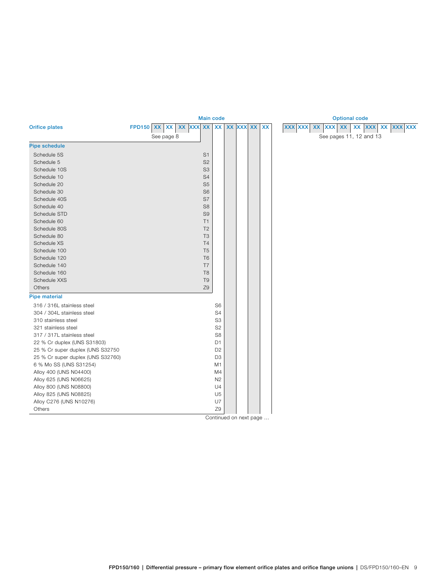<span id="page-8-0"></span>

|                                   |                    |            |  | <b>Main code</b> |                |  | <b>Optional code</b> |    |  |                |    |                         |    |  |                   |  |  |  |
|-----------------------------------|--------------------|------------|--|------------------|----------------|--|----------------------|----|--|----------------|----|-------------------------|----|--|-------------------|--|--|--|
| <b>Orifice plates</b>             | FPD150 XX XX XX XX |            |  |                  | <b>XX</b>      |  | XX XXX XX            | XX |  | <b>XXX XXX</b> | XX | <b>XXX</b>              | XX |  | xx xxx xx xxx xxx |  |  |  |
|                                   |                    | See page 8 |  |                  |                |  |                      |    |  |                |    | See pages 11, 12 and 13 |    |  |                   |  |  |  |
| <b>Pipe schedule</b>              |                    |            |  |                  |                |  |                      |    |  |                |    |                         |    |  |                   |  |  |  |
| Schedule 5S                       |                    |            |  | S <sub>1</sub>   |                |  |                      |    |  |                |    |                         |    |  |                   |  |  |  |
| Schedule 5                        |                    |            |  | S <sub>2</sub>   |                |  |                      |    |  |                |    |                         |    |  |                   |  |  |  |
| Schedule 10S                      |                    |            |  | S <sub>3</sub>   |                |  |                      |    |  |                |    |                         |    |  |                   |  |  |  |
| Schedule 10                       |                    |            |  | S <sub>4</sub>   |                |  |                      |    |  |                |    |                         |    |  |                   |  |  |  |
| Schedule 20                       |                    |            |  | S <sub>5</sub>   |                |  |                      |    |  |                |    |                         |    |  |                   |  |  |  |
| Schedule 30                       |                    |            |  | S <sub>6</sub>   |                |  |                      |    |  |                |    |                         |    |  |                   |  |  |  |
| Schedule 40S                      |                    |            |  | S7               |                |  |                      |    |  |                |    |                         |    |  |                   |  |  |  |
| Schedule 40                       |                    |            |  | S <sub>8</sub>   |                |  |                      |    |  |                |    |                         |    |  |                   |  |  |  |
| Schedule STD                      |                    |            |  | S <sub>9</sub>   |                |  |                      |    |  |                |    |                         |    |  |                   |  |  |  |
| Schedule 60                       |                    |            |  | T1               |                |  |                      |    |  |                |    |                         |    |  |                   |  |  |  |
| Schedule 80S                      |                    |            |  | T <sub>2</sub>   |                |  |                      |    |  |                |    |                         |    |  |                   |  |  |  |
| Schedule 80                       |                    |            |  | T <sub>3</sub>   |                |  |                      |    |  |                |    |                         |    |  |                   |  |  |  |
| Schedule XS                       |                    |            |  | <b>T4</b>        |                |  |                      |    |  |                |    |                         |    |  |                   |  |  |  |
| Schedule 100                      |                    |            |  | T <sub>5</sub>   |                |  |                      |    |  |                |    |                         |    |  |                   |  |  |  |
| Schedule 120                      |                    |            |  | T <sub>6</sub>   |                |  |                      |    |  |                |    |                         |    |  |                   |  |  |  |
| Schedule 140                      |                    |            |  | T7               |                |  |                      |    |  |                |    |                         |    |  |                   |  |  |  |
| Schedule 160                      |                    |            |  | T <sub>8</sub>   |                |  |                      |    |  |                |    |                         |    |  |                   |  |  |  |
| Schedule XXS                      |                    |            |  | T <sub>9</sub>   |                |  |                      |    |  |                |    |                         |    |  |                   |  |  |  |
| Others                            |                    |            |  | Z9               |                |  |                      |    |  |                |    |                         |    |  |                   |  |  |  |
| <b>Pipe material</b>              |                    |            |  |                  |                |  |                      |    |  |                |    |                         |    |  |                   |  |  |  |
| 316 / 316L stainless steel        |                    |            |  |                  | S <sub>6</sub> |  |                      |    |  |                |    |                         |    |  |                   |  |  |  |
| 304 / 304L stainless steel        |                    |            |  |                  | S <sub>4</sub> |  |                      |    |  |                |    |                         |    |  |                   |  |  |  |
| 310 stainless steel               |                    |            |  |                  | S <sub>3</sub> |  |                      |    |  |                |    |                         |    |  |                   |  |  |  |
| 321 stainless steel               |                    |            |  |                  | S <sub>2</sub> |  |                      |    |  |                |    |                         |    |  |                   |  |  |  |
| 317 / 317L stainless steel        |                    |            |  |                  | S <sub>8</sub> |  |                      |    |  |                |    |                         |    |  |                   |  |  |  |
| 22 % Cr duplex (UNS S31803)       |                    |            |  |                  | D <sub>1</sub> |  |                      |    |  |                |    |                         |    |  |                   |  |  |  |
| 25 % Cr super duplex (UNS S32750  |                    |            |  |                  | D <sub>2</sub> |  |                      |    |  |                |    |                         |    |  |                   |  |  |  |
| 25 % Cr super duplex (UNS S32760) |                    |            |  |                  | D <sub>3</sub> |  |                      |    |  |                |    |                         |    |  |                   |  |  |  |
| 6 % Mo SS (UNS S31254)            |                    |            |  |                  | M1             |  |                      |    |  |                |    |                         |    |  |                   |  |  |  |
| Alloy 400 (UNS N04400)            |                    |            |  |                  | M4             |  |                      |    |  |                |    |                         |    |  |                   |  |  |  |
| Alloy 625 (UNS N06625)            |                    |            |  |                  | N <sub>2</sub> |  |                      |    |  |                |    |                         |    |  |                   |  |  |  |
| Alloy 800 (UNS N08800)            |                    |            |  |                  | U <sub>4</sub> |  |                      |    |  |                |    |                         |    |  |                   |  |  |  |
| Alloy 825 (UNS N08825)            |                    |            |  |                  | U <sub>5</sub> |  |                      |    |  |                |    |                         |    |  |                   |  |  |  |
| Alloy C276 (UNS N10276)           |                    |            |  |                  | U7             |  |                      |    |  |                |    |                         |    |  |                   |  |  |  |
| Others                            |                    |            |  |                  | Z9             |  |                      |    |  |                |    |                         |    |  |                   |  |  |  |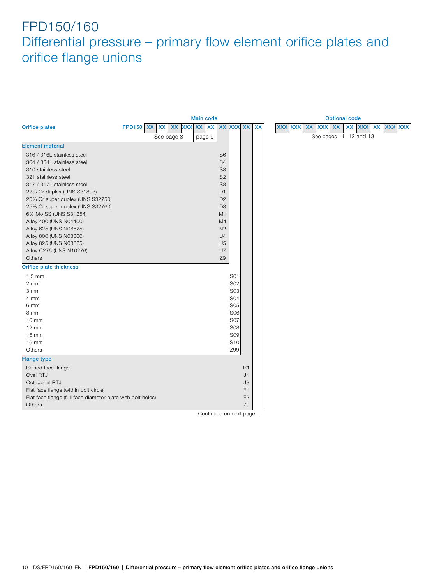<span id="page-9-0"></span>

|                                                             |                  |           |            | <b>Main code</b> |    |                |                 |                |    | <b>Optional code</b>                                                                               |
|-------------------------------------------------------------|------------------|-----------|------------|------------------|----|----------------|-----------------|----------------|----|----------------------------------------------------------------------------------------------------|
| <b>Orifice plates</b>                                       | <b>FPD150 XX</b> | <b>XX</b> | XX XXX XX  |                  | XX | <b>XX</b>      | <b>XXX XX</b>   |                | XX | <b>XXX XXX</b><br>$\pmb{\mathsf{XX}}$<br><b>XXX</b><br><b>XX</b><br>XX XXX XXX<br>XX<br><b>XXX</b> |
|                                                             |                  |           | See page 8 | page 9           |    |                |                 |                |    | See pages 11, 12 and 13                                                                            |
| <b>Element material</b>                                     |                  |           |            |                  |    |                |                 |                |    |                                                                                                    |
| 316 / 316L stainless steel                                  |                  |           |            |                  |    | S <sub>6</sub> |                 |                |    |                                                                                                    |
| 304 / 304L stainless steel                                  |                  |           |            |                  |    | S <sub>4</sub> |                 |                |    |                                                                                                    |
| 310 stainless steel                                         |                  |           |            |                  |    | S <sub>3</sub> |                 |                |    |                                                                                                    |
| 321 stainless steel                                         |                  |           |            |                  |    | S <sub>2</sub> |                 |                |    |                                                                                                    |
| 317 / 317L stainless steel                                  |                  |           |            |                  |    | S <sub>8</sub> |                 |                |    |                                                                                                    |
| 22% Cr duplex (UNS S31803)                                  |                  |           |            |                  |    | D <sub>1</sub> |                 |                |    |                                                                                                    |
| 25% Cr super duplex (UNS S32750)                            |                  |           |            |                  |    | D <sub>2</sub> |                 |                |    |                                                                                                    |
| 25% Cr super duplex (UNS S32760)                            |                  |           |            |                  |    | D <sub>3</sub> |                 |                |    |                                                                                                    |
| 6% Mo SS (UNS S31254)                                       |                  |           |            |                  |    | M <sub>1</sub> |                 |                |    |                                                                                                    |
| Alloy 400 (UNS N04400)                                      |                  |           |            |                  |    | M4             |                 |                |    |                                                                                                    |
| Alloy 625 (UNS N06625)                                      |                  |           |            |                  |    | N <sub>2</sub> |                 |                |    |                                                                                                    |
| Alloy 800 (UNS N08800)                                      |                  |           |            |                  |    | U <sub>4</sub> |                 |                |    |                                                                                                    |
| Alloy 825 (UNS N08825)                                      |                  |           |            |                  |    | U <sub>5</sub> |                 |                |    |                                                                                                    |
| Alloy C276 (UNS N10276)                                     |                  |           |            |                  |    | U7             |                 |                |    |                                                                                                    |
| Others                                                      |                  |           |            |                  |    | Z9             |                 |                |    |                                                                                                    |
| <b>Orifice plate thickness</b>                              |                  |           |            |                  |    |                |                 |                |    |                                                                                                    |
| $1.5 \text{ mm}$                                            |                  |           |            |                  |    |                | S01             |                |    |                                                                                                    |
| 2 mm                                                        |                  |           |            |                  |    |                | S02             |                |    |                                                                                                    |
| 3 mm                                                        |                  |           |            |                  |    |                | <b>S03</b>      |                |    |                                                                                                    |
| 4 mm                                                        |                  |           |            |                  |    |                | <b>S04</b>      |                |    |                                                                                                    |
| 6 mm                                                        |                  |           |            |                  |    |                | <b>S05</b>      |                |    |                                                                                                    |
| 8 mm                                                        |                  |           |            |                  |    |                | <b>S06</b>      |                |    |                                                                                                    |
| $10 \, \text{mm}$                                           |                  |           |            |                  |    |                | <b>S07</b>      |                |    |                                                                                                    |
| $12 \, \text{mm}$                                           |                  |           |            |                  |    |                | <b>S08</b>      |                |    |                                                                                                    |
| $15 \text{ mm}$                                             |                  |           |            |                  |    |                | <b>S09</b>      |                |    |                                                                                                    |
| 16 mm                                                       |                  |           |            |                  |    |                | S <sub>10</sub> |                |    |                                                                                                    |
| Others                                                      |                  |           |            |                  |    |                | Z99             |                |    |                                                                                                    |
| <b>Flange type</b>                                          |                  |           |            |                  |    |                |                 |                |    |                                                                                                    |
| Raised face flange                                          |                  |           |            |                  |    |                |                 | R <sub>1</sub> |    |                                                                                                    |
| Oval RTJ                                                    |                  |           |            |                  |    |                |                 | J1             |    |                                                                                                    |
| Octagonal RTJ                                               |                  |           |            |                  |    |                |                 | J3             |    |                                                                                                    |
| Flat face flange (within bolt circle)                       |                  |           |            |                  |    |                |                 | F1             |    |                                                                                                    |
| Flat face flange (full face diameter plate with bolt holes) |                  |           |            |                  |    |                |                 | F <sub>2</sub> |    |                                                                                                    |
| Others                                                      |                  |           |            |                  |    |                |                 | Z9             |    |                                                                                                    |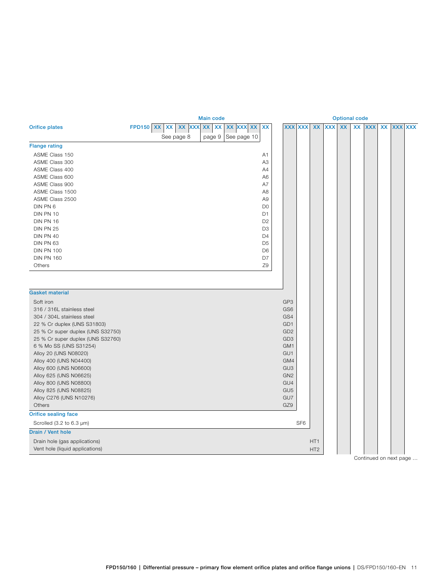<span id="page-10-0"></span>

|                                                  |  |                    | <b>Optional code</b>      |             |                |                                    |                 |                 |            |           |    |            |    |            |            |
|--------------------------------------------------|--|--------------------|---------------------------|-------------|----------------|------------------------------------|-----------------|-----------------|------------|-----------|----|------------|----|------------|------------|
| <b>Orifice plates</b>                            |  | FPD150 XX XX XX XX | XX<br>$\pmb{\mathsf{XX}}$ | XX XXX XX   | XX             |                                    | <b>XXX XXX</b>  | <b>XX</b>       | <b>XXX</b> | <b>XX</b> | XX | <b>XXX</b> | XX | <b>XXX</b> | <b>XXX</b> |
|                                                  |  | See page 8         | page 9                    | See page 10 |                |                                    |                 |                 |            |           |    |            |    |            |            |
| <b>Flange rating</b>                             |  |                    |                           |             |                |                                    |                 |                 |            |           |    |            |    |            |            |
| ASME Class 150                                   |  |                    |                           |             | A1             |                                    |                 |                 |            |           |    |            |    |            |            |
| ASME Class 300                                   |  |                    |                           |             | A <sub>3</sub> |                                    |                 |                 |            |           |    |            |    |            |            |
| ASME Class 400                                   |  |                    |                           |             | A4             |                                    |                 |                 |            |           |    |            |    |            |            |
| ASME Class 600                                   |  |                    |                           |             | A <sub>6</sub> |                                    |                 |                 |            |           |    |            |    |            |            |
| ASME Class 900                                   |  |                    |                           |             | A7             |                                    |                 |                 |            |           |    |            |    |            |            |
| ASME Class 1500                                  |  |                    |                           |             | A <sub>8</sub> |                                    |                 |                 |            |           |    |            |    |            |            |
| ASME Class 2500                                  |  |                    |                           |             | A <sub>9</sub> |                                    |                 |                 |            |           |    |            |    |            |            |
| DIN PN 6                                         |  |                    |                           |             | D <sub>0</sub> |                                    |                 |                 |            |           |    |            |    |            |            |
| DIN PN 10                                        |  |                    |                           |             | D <sub>1</sub> |                                    |                 |                 |            |           |    |            |    |            |            |
| DIN PN 16                                        |  |                    |                           |             | D <sub>2</sub> |                                    |                 |                 |            |           |    |            |    |            |            |
| DIN PN 25                                        |  |                    |                           |             | D <sub>3</sub> |                                    |                 |                 |            |           |    |            |    |            |            |
| DIN PN 40                                        |  |                    |                           |             | D <sub>4</sub> |                                    |                 |                 |            |           |    |            |    |            |            |
| DIN PN 63                                        |  |                    |                           |             | D <sub>5</sub> |                                    |                 |                 |            |           |    |            |    |            |            |
| <b>DIN PN 100</b>                                |  |                    |                           |             | D <sub>6</sub> |                                    |                 |                 |            |           |    |            |    |            |            |
| <b>DIN PN 160</b>                                |  |                    |                           |             | D7             |                                    |                 |                 |            |           |    |            |    |            |            |
| Others                                           |  |                    |                           |             | Z9             |                                    |                 |                 |            |           |    |            |    |            |            |
|                                                  |  |                    |                           |             |                |                                    |                 |                 |            |           |    |            |    |            |            |
|                                                  |  |                    |                           |             |                |                                    |                 |                 |            |           |    |            |    |            |            |
| <b>Gasket material</b>                           |  |                    |                           |             |                |                                    |                 |                 |            |           |    |            |    |            |            |
| Soft iron                                        |  |                    |                           |             |                | GP3                                |                 |                 |            |           |    |            |    |            |            |
| 316 / 316L stainless steel                       |  |                    |                           |             |                | GS <sub>6</sub>                    |                 |                 |            |           |    |            |    |            |            |
| 304 / 304L stainless steel                       |  |                    |                           |             |                | GS4                                |                 |                 |            |           |    |            |    |            |            |
| 22 % Cr duplex (UNS S31803)                      |  |                    |                           |             |                | GD <sub>1</sub>                    |                 |                 |            |           |    |            |    |            |            |
| 25 % Cr super duplex (UNS S32750)                |  |                    |                           |             |                | GD <sub>2</sub>                    |                 |                 |            |           |    |            |    |            |            |
| 25 % Cr super duplex (UNS S32760)                |  |                    |                           |             |                | GD <sub>3</sub>                    |                 |                 |            |           |    |            |    |            |            |
| 6 % Mo SS (UNS S31254)                           |  |                    |                           |             |                | GM1                                |                 |                 |            |           |    |            |    |            |            |
| Alloy 20 (UNS N08020)                            |  |                    |                           |             |                | GU <sub>1</sub>                    |                 |                 |            |           |    |            |    |            |            |
| Alloy 400 (UNS N04400)                           |  |                    |                           |             |                | GM4                                |                 |                 |            |           |    |            |    |            |            |
| Alloy 600 (UNS N06600)                           |  |                    |                           |             |                | GU <sub>3</sub><br>GN <sub>2</sub> |                 |                 |            |           |    |            |    |            |            |
| Alloy 625 (UNS N06625)<br>Alloy 800 (UNS N08800) |  |                    |                           |             |                | GU4                                |                 |                 |            |           |    |            |    |            |            |
| Alloy 825 (UNS N08825)                           |  |                    |                           |             |                | GU <sub>5</sub>                    |                 |                 |            |           |    |            |    |            |            |
| Alloy C276 (UNS N10276)                          |  |                    |                           |             |                | GU7                                |                 |                 |            |           |    |            |    |            |            |
| Others                                           |  |                    |                           |             |                | GZ9                                |                 |                 |            |           |    |            |    |            |            |
| <b>Orifice sealing face</b>                      |  |                    |                           |             |                |                                    |                 |                 |            |           |    |            |    |            |            |
| Scrolled $(3.2 \text{ to } 6.3 \text{ µm})$      |  |                    |                           |             |                |                                    | SF <sub>6</sub> |                 |            |           |    |            |    |            |            |
| <b>Drain / Vent hole</b>                         |  |                    |                           |             |                |                                    |                 |                 |            |           |    |            |    |            |            |
| Drain hole (gas applications)                    |  |                    |                           |             |                |                                    |                 | HT <sub>1</sub> |            |           |    |            |    |            |            |
| Vent hole (liquid applications)                  |  |                    |                           |             |                |                                    |                 | HT <sub>2</sub> |            |           |    |            |    |            |            |
|                                                  |  |                    |                           |             |                |                                    |                 |                 |            |           |    |            |    |            |            |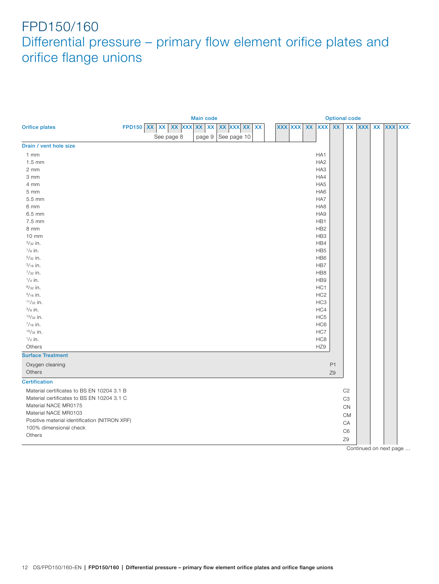<span id="page-11-0"></span>

|                                               |                                     | <b>Main code</b> | <b>Optional code</b> |           |  |                |    |                 |                |                |            |           |  |                |
|-----------------------------------------------|-------------------------------------|------------------|----------------------|-----------|--|----------------|----|-----------------|----------------|----------------|------------|-----------|--|----------------|
| <b>Orifice plates</b>                         | FPD150 $x \, x \, x \, x \, x \, x$ |                  | XX XXX XX            | <b>XX</b> |  | <b>XXX XXX</b> | XX | <b>XXX</b>      | <b>XX</b>      | <b>XX</b>      | <b>XXX</b> | <b>XX</b> |  | <b>XXX XXX</b> |
|                                               | See page 8                          | page 9           | See page 10          |           |  |                |    |                 |                |                |            |           |  |                |
| Drain / vent hole size                        |                                     |                  |                      |           |  |                |    |                 |                |                |            |           |  |                |
| $1$ mm                                        |                                     |                  |                      |           |  |                |    | HA <sub>1</sub> |                |                |            |           |  |                |
| $1.5$ mm                                      |                                     |                  |                      |           |  |                |    | HA <sub>2</sub> |                |                |            |           |  |                |
| $2 \, \text{mm}$                              |                                     |                  |                      |           |  |                |    | HA <sub>3</sub> |                |                |            |           |  |                |
| 3 mm                                          |                                     |                  |                      |           |  |                |    | HA4             |                |                |            |           |  |                |
| 4 mm                                          |                                     |                  |                      |           |  |                |    | HA <sub>5</sub> |                |                |            |           |  |                |
| 5 <sub>mm</sub>                               |                                     |                  |                      |           |  |                |    | HA <sub>6</sub> |                |                |            |           |  |                |
| 5.5 mm                                        |                                     |                  |                      |           |  |                |    | HA7             |                |                |            |           |  |                |
| 6 mm                                          |                                     |                  |                      |           |  |                |    | HA <sub>8</sub> |                |                |            |           |  |                |
| 6.5 mm                                        |                                     |                  |                      |           |  |                |    | HA9             |                |                |            |           |  |                |
| 7.5 mm                                        |                                     |                  |                      |           |  |                |    | HB1             |                |                |            |           |  |                |
| 8 mm                                          |                                     |                  |                      |           |  |                |    | HB <sub>2</sub> |                |                |            |           |  |                |
| $10 \, \text{mm}$                             |                                     |                  |                      |           |  |                |    | HB3             |                |                |            |           |  |                |
| $3/32$ in.                                    |                                     |                  |                      |           |  |                |    | HB4             |                |                |            |           |  |                |
| $1/8$ in.                                     |                                     |                  |                      |           |  |                |    | HB <sub>5</sub> |                |                |            |           |  |                |
| $5/32$ in.                                    |                                     |                  |                      |           |  |                |    | HB <sub>6</sub> |                |                |            |           |  |                |
| $\frac{3}{16}$ in.                            |                                     |                  |                      |           |  |                |    | HB7             |                |                |            |           |  |                |
| $^{7}/_{32}$ in.                              |                                     |                  |                      |           |  |                |    | HB8             |                |                |            |           |  |                |
| $1/4$ in.                                     |                                     |                  |                      |           |  |                |    | HB <sub>9</sub> |                |                |            |           |  |                |
| $9/32$ in.                                    |                                     |                  |                      |           |  |                |    | HC <sub>1</sub> |                |                |            |           |  |                |
| $5/16$ in.                                    |                                     |                  |                      |           |  |                |    | HC <sub>2</sub> |                |                |            |           |  |                |
| $11/32$ in.                                   |                                     |                  |                      |           |  |                |    | HC <sub>3</sub> |                |                |            |           |  |                |
| $3/8$ in.                                     |                                     |                  |                      |           |  |                |    | HC4             |                |                |            |           |  |                |
| $13/32$ in.                                   |                                     |                  |                      |           |  |                |    | HC <sub>5</sub> |                |                |            |           |  |                |
| $7/16$ in.                                    |                                     |                  |                      |           |  |                |    | HC <sub>6</sub> |                |                |            |           |  |                |
| $15/32$ in.                                   |                                     |                  |                      |           |  |                |    | HC7             |                |                |            |           |  |                |
| $\frac{1}{2}$ in.                             |                                     |                  |                      |           |  |                |    | HC <sub>8</sub> |                |                |            |           |  |                |
| Others                                        |                                     |                  |                      |           |  |                |    | HZ9             |                |                |            |           |  |                |
| <b>Surface Treatment</b>                      |                                     |                  |                      |           |  |                |    |                 |                |                |            |           |  |                |
| Oxygen cleaning                               |                                     |                  |                      |           |  |                |    |                 | P <sub>1</sub> |                |            |           |  |                |
| Others                                        |                                     |                  |                      |           |  |                |    |                 | Z9             |                |            |           |  |                |
| <b>Certification</b>                          |                                     |                  |                      |           |  |                |    |                 |                |                |            |           |  |                |
| Material certificates to BS EN 10204 3.1 B    |                                     |                  |                      |           |  |                |    |                 |                | C <sub>2</sub> |            |           |  |                |
| Material certificates to BS EN 10204 3.1 C    |                                     |                  |                      |           |  |                |    |                 |                | C <sub>3</sub> |            |           |  |                |
| Material NACE MR0175                          |                                     |                  |                      |           |  |                |    |                 |                | ${\sf CN}$     |            |           |  |                |
| Material NACE MR0103                          |                                     |                  |                      |           |  |                |    |                 |                | <b>CM</b>      |            |           |  |                |
| Positive material identification (NITRON XRF) |                                     |                  |                      |           |  |                |    |                 |                | CA             |            |           |  |                |
| 100% dimensional check                        |                                     |                  |                      |           |  |                |    |                 |                | C <sub>6</sub> |            |           |  |                |
| Others                                        |                                     |                  |                      |           |  |                |    |                 |                |                |            |           |  |                |
|                                               |                                     |                  |                      |           |  |                |    |                 |                | Z9             |            |           |  |                |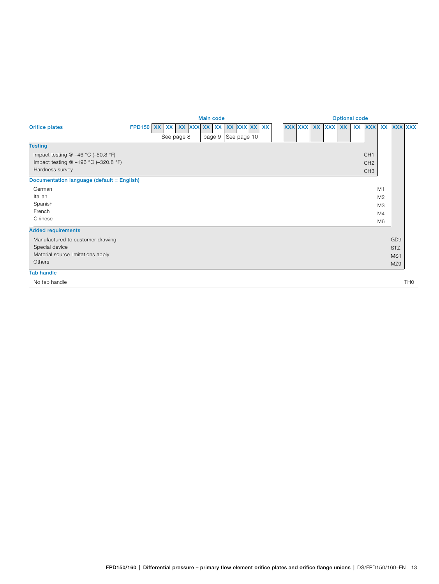<span id="page-12-0"></span>

|                                            | <b>Main code</b>                                       | <b>Optional code</b>                                   |  |  |  |  |  |  |  |  |  |  |  |  |
|--------------------------------------------|--------------------------------------------------------|--------------------------------------------------------|--|--|--|--|--|--|--|--|--|--|--|--|
| <b>Orifice plates</b>                      | XX XX XX XXX XX XX<br>XX XXX<br><b>FPD150 XX</b><br>XX | XX XXX XXX<br><b>XXX XXX</b><br>XXX XX<br>XX XXX<br>XX |  |  |  |  |  |  |  |  |  |  |  |  |
|                                            | See page 10<br>page 9<br>See page 8                    |                                                        |  |  |  |  |  |  |  |  |  |  |  |  |
| <b>Testing</b>                             |                                                        |                                                        |  |  |  |  |  |  |  |  |  |  |  |  |
| Impact testing $@ -46 °C (-50.8 °F)$       |                                                        | CH <sub>1</sub>                                        |  |  |  |  |  |  |  |  |  |  |  |  |
| Impact testing @ -196 °C (-320.8 °F)       |                                                        | CH <sub>2</sub>                                        |  |  |  |  |  |  |  |  |  |  |  |  |
| Hardness survey                            |                                                        | CH <sub>3</sub>                                        |  |  |  |  |  |  |  |  |  |  |  |  |
| Documentation language (default = English) |                                                        |                                                        |  |  |  |  |  |  |  |  |  |  |  |  |
| German                                     |                                                        | M1                                                     |  |  |  |  |  |  |  |  |  |  |  |  |
| Italian                                    |                                                        | M <sub>2</sub>                                         |  |  |  |  |  |  |  |  |  |  |  |  |
| Spanish                                    |                                                        | M <sub>3</sub>                                         |  |  |  |  |  |  |  |  |  |  |  |  |
| French                                     |                                                        | M4                                                     |  |  |  |  |  |  |  |  |  |  |  |  |
| Chinese                                    |                                                        | M <sub>6</sub>                                         |  |  |  |  |  |  |  |  |  |  |  |  |
| <b>Added requirements</b>                  |                                                        |                                                        |  |  |  |  |  |  |  |  |  |  |  |  |
| Manufactured to customer drawing           |                                                        | GD <sub>9</sub>                                        |  |  |  |  |  |  |  |  |  |  |  |  |
| Special device                             |                                                        | <b>STZ</b>                                             |  |  |  |  |  |  |  |  |  |  |  |  |
| Material source limitations apply          |                                                        | MS1                                                    |  |  |  |  |  |  |  |  |  |  |  |  |
| Others                                     |                                                        | MZ9                                                    |  |  |  |  |  |  |  |  |  |  |  |  |
| <b>Tab handle</b>                          |                                                        |                                                        |  |  |  |  |  |  |  |  |  |  |  |  |
| No tab handle                              |                                                        | TH <sub>0</sub>                                        |  |  |  |  |  |  |  |  |  |  |  |  |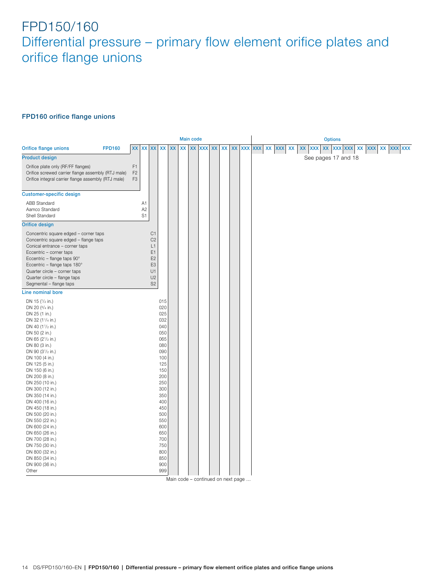### **FPD160 orifice flange unions**

<span id="page-13-0"></span>

|                                                                                                                                                                                                                                                                                                       | <b>Main code</b>                                   |                            |                                                                                                                |                                                                                                       |  |               |  |        |           |       |  |         | <b>Options</b> |  |    |  |                       |                     |  |  |  |  |  |            |  |
|-------------------------------------------------------------------------------------------------------------------------------------------------------------------------------------------------------------------------------------------------------------------------------------------------------|----------------------------------------------------|----------------------------|----------------------------------------------------------------------------------------------------------------|-------------------------------------------------------------------------------------------------------|--|---------------|--|--------|-----------|-------|--|---------|----------------|--|----|--|-----------------------|---------------------|--|--|--|--|--|------------|--|
| <b>Orifice flange unions</b><br><b>FPD160</b>                                                                                                                                                                                                                                                         | <b>XX</b>                                          |                            | XX XX XX XX                                                                                                    |                                                                                                       |  | $\mathsf{xx}$ |  | XX XXX | <b>XX</b> | XX XX |  | XXX XXX | XX XXX         |  | XX |  | xx xxx xx xxx xxx xxx |                     |  |  |  |  |  | XX XXX XXX |  |
| <b>Product design</b>                                                                                                                                                                                                                                                                                 |                                                    |                            |                                                                                                                |                                                                                                       |  |               |  |        |           |       |  |         |                |  |    |  |                       | See pages 17 and 18 |  |  |  |  |  |            |  |
| Orifice plate only (RF/FF flanges)<br>Orifice screwed carrier flange assembly (RTJ male)<br>Orifice integral carrier flange assembly (RTJ male)                                                                                                                                                       | F <sub>1</sub><br>F <sub>2</sub><br>F <sub>3</sub> |                            |                                                                                                                |                                                                                                       |  |               |  |        |           |       |  |         |                |  |    |  |                       |                     |  |  |  |  |  |            |  |
| <b>Customer-specific design</b>                                                                                                                                                                                                                                                                       |                                                    |                            |                                                                                                                |                                                                                                       |  |               |  |        |           |       |  |         |                |  |    |  |                       |                     |  |  |  |  |  |            |  |
| <b>ABB Standard</b><br>Aamco Standard<br>Shell Standard                                                                                                                                                                                                                                               |                                                    | A1<br>A <sub>2</sub><br>S1 |                                                                                                                |                                                                                                       |  |               |  |        |           |       |  |         |                |  |    |  |                       |                     |  |  |  |  |  |            |  |
| <b>Orifice design</b>                                                                                                                                                                                                                                                                                 |                                                    |                            |                                                                                                                |                                                                                                       |  |               |  |        |           |       |  |         |                |  |    |  |                       |                     |  |  |  |  |  |            |  |
| Concentric square edged - corner taps<br>Concentric square edged - flange taps<br>Conical entrance - corner taps<br>Eccentric - corner taps<br>Eccentric - flange taps 90°<br>Eccentric - flange taps 180°<br>Quarter circle - corner taps<br>Quarter circle - flange taps<br>Segmental - flange taps |                                                    |                            | C1<br>C <sub>2</sub><br>L1<br>E1<br>E <sub>2</sub><br>E <sub>3</sub><br>U1<br>U <sub>2</sub><br>S <sub>2</sub> |                                                                                                       |  |               |  |        |           |       |  |         |                |  |    |  |                       |                     |  |  |  |  |  |            |  |
| Line nominal bore                                                                                                                                                                                                                                                                                     |                                                    |                            |                                                                                                                |                                                                                                       |  |               |  |        |           |       |  |         |                |  |    |  |                       |                     |  |  |  |  |  |            |  |
| DN 15 (1/2 in.)<br>DN 20 (3/4 in.)<br>DN 25 (1 in.)<br>DN 32 (11/4 in.)<br>DN 40 (11/2 in.)<br>DN 50 (2 in.)<br>DN 65 (21/2 in.)<br>DN 80 (3 in.)<br>DN 90 (3 <sup>1</sup> /2 in.)<br>DN 100 (4 in.)<br>DN 125 (5 in.)<br>DN 150 (6 in.)<br>DN 200 (8 in.)<br>DN 250 (10 in.)<br>DN 300 (12 in.)      |                                                    |                            |                                                                                                                | 015<br>020<br>025<br>032<br>040<br>050<br>065<br>080<br>090<br>100<br>125<br>150<br>200<br>250<br>300 |  |               |  |        |           |       |  |         |                |  |    |  |                       |                     |  |  |  |  |  |            |  |
| DN 350 (14 in.)<br>DN 400 (16 in.)<br>DN 450 (18 in.)<br>DN 500 (20 in.)<br>DN 550 (22 in.)<br>DN 600 (24 in.)<br>DN 650 (26 in.)<br>DN 700 (28 in.)<br>DN 750 (30 in.)<br>DN 800 (32 in.)<br>DN 850 (34 in.)<br>DN 900 (36 in.)<br>Other                                                             |                                                    |                            |                                                                                                                | 350<br>400<br>450<br>500<br>550<br>600<br>650<br>700<br>750<br>800<br>850<br>900<br>999               |  |               |  |        |           |       |  |         |                |  |    |  |                       |                     |  |  |  |  |  |            |  |

Main code – continued on next page …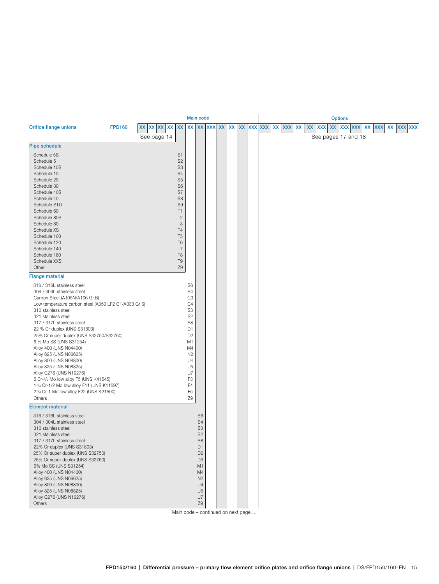<span id="page-14-0"></span>

|                                                                                                                                                                                                                                                                                                                                                                                                                                                                                                                                                                                                                  |               |                            |                                                                                                                                                                                                                                                                            | <b>Main code</b>                                                                                                                                                                                                                                               |                                                                                                                                                                                                    |  |  |                                  |  |    |        | <b>Options</b> |                                   |  |                   |  |
|------------------------------------------------------------------------------------------------------------------------------------------------------------------------------------------------------------------------------------------------------------------------------------------------------------------------------------------------------------------------------------------------------------------------------------------------------------------------------------------------------------------------------------------------------------------------------------------------------------------|---------------|----------------------------|----------------------------------------------------------------------------------------------------------------------------------------------------------------------------------------------------------------------------------------------------------------------------|----------------------------------------------------------------------------------------------------------------------------------------------------------------------------------------------------------------------------------------------------------------|----------------------------------------------------------------------------------------------------------------------------------------------------------------------------------------------------|--|--|----------------------------------|--|----|--------|----------------|-----------------------------------|--|-------------------|--|
| <b>Orifice flange unions</b>                                                                                                                                                                                                                                                                                                                                                                                                                                                                                                                                                                                     | <b>FPD160</b> | xx xx xx xx<br>See page 14 |                                                                                                                                                                                                                                                                            |                                                                                                                                                                                                                                                                |                                                                                                                                                                                                    |  |  | xx xx xx xx xx xx xx xx xx xx xx |  | XX | XX XXX |                | XX XXX XXX<br>See pages 17 and 18 |  | XX XXX XX XXX XXX |  |
| <b>Pipe schedule</b>                                                                                                                                                                                                                                                                                                                                                                                                                                                                                                                                                                                             |               |                            |                                                                                                                                                                                                                                                                            |                                                                                                                                                                                                                                                                |                                                                                                                                                                                                    |  |  |                                  |  |    |        |                |                                   |  |                   |  |
| Schedule 5S<br>Schedule 5<br>Schedule 10S<br>Schedule 10<br>Schedule 20<br>Schedule 30<br>Schedule 40S<br>Schedule 40<br>Schedule STD<br>Schedule 60<br>Schedule 80S<br>Schedule 80<br>Schedule XS<br>Schedule 100<br>Schedule 120<br>Schedule 140<br>Schedule 160                                                                                                                                                                                                                                                                                                                                               |               |                            | S <sub>1</sub><br>S <sub>2</sub><br>S <sub>3</sub><br>S <sub>4</sub><br>S <sub>5</sub><br>S <sub>6</sub><br>S7<br>S <sub>8</sub><br>S <sub>9</sub><br>T1<br>T <sub>2</sub><br>T <sub>3</sub><br>T <sub>4</sub><br>T <sub>5</sub><br>T <sub>6</sub><br>T7<br>T <sub>8</sub> |                                                                                                                                                                                                                                                                |                                                                                                                                                                                                    |  |  |                                  |  |    |        |                |                                   |  |                   |  |
| Schedule XXS<br>Other<br>Flange material                                                                                                                                                                                                                                                                                                                                                                                                                                                                                                                                                                         |               |                            | T <sub>9</sub><br>Z9                                                                                                                                                                                                                                                       |                                                                                                                                                                                                                                                                |                                                                                                                                                                                                    |  |  |                                  |  |    |        |                |                                   |  |                   |  |
| 316 / 316L stainless steel<br>304 / 304L stainless steel<br>Carbon Steel (A105N/A106 Gr.B)<br>Low temperature carbon steel (A350 LF2 C1/A333 Gr 6)<br>310 stainless steel<br>321 stainless steel<br>317 / 317L stainless steel<br>22 % Cr duplex (UNS S31803)<br>25% Cr super duplex (UNS S32750/S32760)<br>6 % Mo SS (UNS S31254)<br>Alloy 400 (UNS N04400)<br>Alloy 625 (UNS N06625)<br>Alloy 800 (UNS N08800)<br>Alloy 825 (UNS N08825)<br>Alloy C276 (UNS N10276)<br>5 Cr-1/2 Mo low alloy F5 (UNS K41545)<br>11/4 Cr-1/2 Mo low alloy F11 (UNS K11597)<br>21/4 Cr-1 Mo low alloy F22 (UNS K21590)<br>Others |               |                            |                                                                                                                                                                                                                                                                            | S <sub>6</sub><br>S <sub>4</sub><br>C <sub>3</sub><br>C <sub>4</sub><br>S3<br>S <sub>2</sub><br>S8<br>D <sub>1</sub><br>D <sub>2</sub><br>M <sub>1</sub><br>M4<br>N <sub>2</sub><br>U4<br>U <sub>5</sub><br>U7<br>F <sub>3</sub><br>F4<br>F <sub>5</sub><br>Z9 |                                                                                                                                                                                                    |  |  |                                  |  |    |        |                |                                   |  |                   |  |
| <b>Element material</b>                                                                                                                                                                                                                                                                                                                                                                                                                                                                                                                                                                                          |               |                            |                                                                                                                                                                                                                                                                            |                                                                                                                                                                                                                                                                |                                                                                                                                                                                                    |  |  |                                  |  |    |        |                |                                   |  |                   |  |
| 316 / 316L stainless steel<br>304 / 304L stainless steel<br>310 stainless steel<br>321 stainless steel<br>317 / 317L stainless steel<br>22% Cr duplex (UNS S31803)<br>25% Cr super duplex (UNS S32750)<br>25% Cr super duplex (UNS S32760)<br>6% Mo SS (UNS S31254)<br>Alloy 400 (UNS N04400)<br>Alloy 625 (UNS N06625)<br>Alloy 800 (UNS N08800)<br>Alloy 825 (UNS N08825)<br>Alloy C276 (UNS N10276)<br>Others                                                                                                                                                                                                 |               |                            |                                                                                                                                                                                                                                                                            |                                                                                                                                                                                                                                                                | S <sub>6</sub><br>S <sub>4</sub><br>S <sub>3</sub><br>S <sub>2</sub><br>S <sub>8</sub><br>D1<br>D <sub>2</sub><br>D <sub>3</sub><br>M1<br>M4<br>N <sub>2</sub><br>U4<br>U <sub>5</sub><br>U7<br>Z9 |  |  |                                  |  |    |        |                |                                   |  |                   |  |

Main code – continued on next page …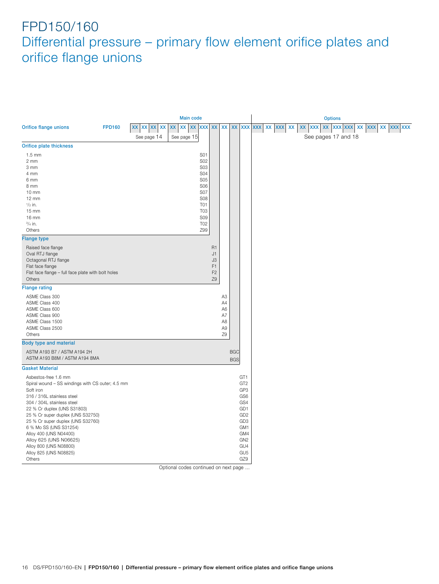<span id="page-15-0"></span>

|                                                                                                                                                                                                                                                                                                                                                                    |               |                | <b>Main code</b>   |                                                                                                                                                        |                                                                      |                          |                                                                                                                                                          |               |            |    |        |    | <b>Options</b>      |                |            |  |
|--------------------------------------------------------------------------------------------------------------------------------------------------------------------------------------------------------------------------------------------------------------------------------------------------------------------------------------------------------------------|---------------|----------------|--------------------|--------------------------------------------------------------------------------------------------------------------------------------------------------|----------------------------------------------------------------------|--------------------------|----------------------------------------------------------------------------------------------------------------------------------------------------------|---------------|------------|----|--------|----|---------------------|----------------|------------|--|
| <b>Orifice flange unions</b>                                                                                                                                                                                                                                                                                                                                       | <b>FPD160</b> | XX XX XX<br>XX | <b>XX</b><br>XX XX | XXX XX XX                                                                                                                                              |                                                                      |                          |                                                                                                                                                          | XX XXX XXX XX | <b>XXX</b> | XX | XX XXX | XX |                     | XXX XXX XX XXX | XX XXX XXX |  |
|                                                                                                                                                                                                                                                                                                                                                                    |               | See page 14    | See page 15        |                                                                                                                                                        |                                                                      |                          |                                                                                                                                                          |               |            |    |        |    | See pages 17 and 18 |                |            |  |
| Orifice plate thickness                                                                                                                                                                                                                                                                                                                                            |               |                |                    |                                                                                                                                                        |                                                                      |                          |                                                                                                                                                          |               |            |    |        |    |                     |                |            |  |
| $1.5 \text{ mm}$<br>$2 \, \text{mm}$<br>3 mm<br>4 mm<br>6 mm<br>8 mm<br>$10 \, \text{mm}$<br>12 mm<br>$\frac{1}{2}$ in.<br>$15 \, \text{mm}$<br>16 mm<br>$^{3}/_{4}$ in.<br>Others                                                                                                                                                                                 |               |                |                    | S01<br><b>S02</b><br><b>S03</b><br><b>S04</b><br><b>S05</b><br><b>S06</b><br><b>S07</b><br><b>S08</b><br>T01<br><b>T03</b><br><b>S09</b><br>T02<br>Z99 |                                                                      |                          |                                                                                                                                                          |               |            |    |        |    |                     |                |            |  |
| <b>Flange type</b>                                                                                                                                                                                                                                                                                                                                                 |               |                |                    |                                                                                                                                                        |                                                                      |                          |                                                                                                                                                          |               |            |    |        |    |                     |                |            |  |
| Raised face flange<br>Oval RTJ flange<br>Octagonal RTJ flange<br>Flat face flange<br>Flat face flange - full face plate with bolt holes<br>Others                                                                                                                                                                                                                  |               |                |                    |                                                                                                                                                        | R <sub>1</sub><br>J1<br>J3<br>F <sub>1</sub><br>F <sub>2</sub><br>Z9 |                          |                                                                                                                                                          |               |            |    |        |    |                     |                |            |  |
| <b>Flange rating</b>                                                                                                                                                                                                                                                                                                                                               |               |                |                    |                                                                                                                                                        |                                                                      |                          |                                                                                                                                                          |               |            |    |        |    |                     |                |            |  |
| ASME Class 300<br>ASME Class 400<br>ASME Class 600<br>ASME Class 900<br>ASME Class 1500<br>ASME Class 2500<br>Others                                                                                                                                                                                                                                               |               |                |                    |                                                                                                                                                        | A <sub>3</sub><br>A4<br>A6<br>A7<br>A8<br>A9<br>Z9                   |                          |                                                                                                                                                          |               |            |    |        |    |                     |                |            |  |
| <b>Body type and material</b>                                                                                                                                                                                                                                                                                                                                      |               |                |                    |                                                                                                                                                        |                                                                      |                          |                                                                                                                                                          |               |            |    |        |    |                     |                |            |  |
| ASTM A193 B7 / ASTM A194 2H<br>ASTM A193 B8M / ASTM A194 8MA                                                                                                                                                                                                                                                                                                       |               |                |                    |                                                                                                                                                        |                                                                      | <b>BGC</b><br><b>BGS</b> |                                                                                                                                                          |               |            |    |        |    |                     |                |            |  |
| <b>Gasket Material</b>                                                                                                                                                                                                                                                                                                                                             |               |                |                    |                                                                                                                                                        |                                                                      |                          |                                                                                                                                                          |               |            |    |        |    |                     |                |            |  |
| Asbestos-free 1.6 mm<br>Spiral wound - SS windings with CS outer; 4.5 mm<br>Soft iron<br>316 / 316L stainless steel<br>304 / 304L stainless steel<br>22 % Cr duplex (UNS S31803)<br>25 % Cr super duplex (UNS S32750)<br>25 % Cr super duplex (UNS S32760)<br>6 % Mo SS (UNS S31254)<br>Alloy 400 (UNS N04400)<br>Alloy 625 (UNS N06625)<br>Alloy 800 (UNS N08800) |               |                |                    |                                                                                                                                                        |                                                                      |                          | GT <sub>1</sub><br>GT <sub>2</sub><br>GP3<br>GS6<br>GS4<br>GD <sub>1</sub><br>GD <sub>2</sub><br>GD <sub>3</sub><br>GM1<br>GM4<br>GN <sub>2</sub><br>GU4 |               |            |    |        |    |                     |                |            |  |
| Alloy 825 (UNS N08825)<br>Others                                                                                                                                                                                                                                                                                                                                   |               |                |                    |                                                                                                                                                        |                                                                      |                          | GU <sub>5</sub><br>GZ9                                                                                                                                   |               |            |    |        |    |                     |                |            |  |
|                                                                                                                                                                                                                                                                                                                                                                    |               |                |                    |                                                                                                                                                        |                                                                      |                          |                                                                                                                                                          |               |            |    |        |    |                     |                |            |  |

Optional codes continued on next page …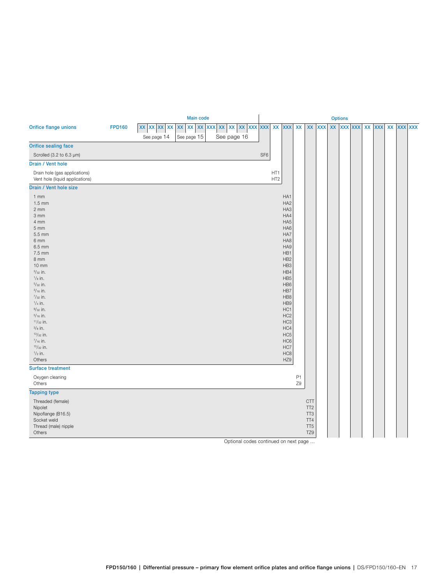<span id="page-16-0"></span>

|                                                                                                                                                                                                                                                                                                                                                                                              | <b>Main code</b> |                                                |                                |  |                     |                              |                 |                        |                                                                                                                                                                                                                                                                                                                                    |                      | <b>Options</b>                                                                    |            |    |  |                |  |        |    |                |  |  |  |
|----------------------------------------------------------------------------------------------------------------------------------------------------------------------------------------------------------------------------------------------------------------------------------------------------------------------------------------------------------------------------------------------|------------------|------------------------------------------------|--------------------------------|--|---------------------|------------------------------|-----------------|------------------------|------------------------------------------------------------------------------------------------------------------------------------------------------------------------------------------------------------------------------------------------------------------------------------------------------------------------------------|----------------------|-----------------------------------------------------------------------------------|------------|----|--|----------------|--|--------|----|----------------|--|--|--|
| Orifice flange unions                                                                                                                                                                                                                                                                                                                                                                        | <b>FPD160</b>    | XX XX XX<br>$\pmb{\mathsf{XX}}$<br>See page 14 | XX<br>XX XX XXX<br>See page 15 |  | $\pmb{\mathsf{XX}}$ | XX XX XXX XXX<br>See page 16 |                 | <b>XX</b>              | <b>XXX</b>                                                                                                                                                                                                                                                                                                                         | XX                   | XX                                                                                | <b>XXX</b> | XX |  | <b>XXX XXX</b> |  | XX XXX | XX | <b>XXX XXX</b> |  |  |  |
| Orifice sealing face                                                                                                                                                                                                                                                                                                                                                                         |                  |                                                |                                |  |                     |                              |                 |                        |                                                                                                                                                                                                                                                                                                                                    |                      |                                                                                   |            |    |  |                |  |        |    |                |  |  |  |
| Scrolled (3.2 to 6.3 µm)                                                                                                                                                                                                                                                                                                                                                                     |                  |                                                |                                |  |                     |                              | SF <sub>6</sub> |                        |                                                                                                                                                                                                                                                                                                                                    |                      |                                                                                   |            |    |  |                |  |        |    |                |  |  |  |
| Drain / Vent hole                                                                                                                                                                                                                                                                                                                                                                            |                  |                                                |                                |  |                     |                              |                 |                        |                                                                                                                                                                                                                                                                                                                                    |                      |                                                                                   |            |    |  |                |  |        |    |                |  |  |  |
| Drain hole (gas applications)<br>Vent hole (liquid applications)                                                                                                                                                                                                                                                                                                                             |                  |                                                |                                |  |                     |                              |                 | HT1<br>HT <sub>2</sub> |                                                                                                                                                                                                                                                                                                                                    |                      |                                                                                   |            |    |  |                |  |        |    |                |  |  |  |
| Drain / Vent hole size                                                                                                                                                                                                                                                                                                                                                                       |                  |                                                |                                |  |                     |                              |                 |                        |                                                                                                                                                                                                                                                                                                                                    |                      |                                                                                   |            |    |  |                |  |        |    |                |  |  |  |
| $1$ mm<br>$1.5 \text{ mm}$<br>$2 \, \text{mm}$<br>3 mm<br>4 mm<br>$5 \, \text{mm}$<br>5.5 mm<br>6 mm<br>6.5 mm<br>7.5 mm<br>8 mm<br>$10 \, \text{mm}$<br>$3/32$ in.<br>$\frac{1}{8}$ in.<br>$5/32$ in.<br>$\frac{3}{16}$ in.<br>$^{7}/_{32}$ in.<br>$1/4$ in.<br>$9/32$ in.<br>$5/16$ in.<br>$11/32$ in.<br>$^{3}/_{8}$ in.<br>$13/32$ in.<br>$7/16$ in.<br>$15/32$ in.<br>$\frac{1}{2}$ in. |                  |                                                |                                |  |                     |                              |                 |                        | HA1<br>HA <sub>2</sub><br>HA <sub>3</sub><br>HA4<br>HA <sub>5</sub><br>HA6<br>HA7<br>HA8<br>HA9<br>HB1<br>HB <sub>2</sub><br>HB <sub>3</sub><br>HB4<br>HB <sub>5</sub><br>HB <sub>6</sub><br>HB7<br>HB8<br>HB9<br>HC1<br>HC <sub>2</sub><br>HC <sub>3</sub><br>HC4<br>HC <sub>5</sub><br>HC <sub>6</sub><br>HC7<br>HC <sub>8</sub> |                      |                                                                                   |            |    |  |                |  |        |    |                |  |  |  |
| Others                                                                                                                                                                                                                                                                                                                                                                                       |                  |                                                |                                |  |                     |                              |                 |                        | HZ9                                                                                                                                                                                                                                                                                                                                |                      |                                                                                   |            |    |  |                |  |        |    |                |  |  |  |
| <b>Surface treatment</b>                                                                                                                                                                                                                                                                                                                                                                     |                  |                                                |                                |  |                     |                              |                 |                        |                                                                                                                                                                                                                                                                                                                                    |                      |                                                                                   |            |    |  |                |  |        |    |                |  |  |  |
| Oxygen cleaning<br>Others                                                                                                                                                                                                                                                                                                                                                                    |                  |                                                |                                |  |                     |                              |                 |                        |                                                                                                                                                                                                                                                                                                                                    | P <sub>1</sub><br>Z9 |                                                                                   |            |    |  |                |  |        |    |                |  |  |  |
| <b>Tapping type</b>                                                                                                                                                                                                                                                                                                                                                                          |                  |                                                |                                |  |                     |                              |                 |                        |                                                                                                                                                                                                                                                                                                                                    |                      |                                                                                   |            |    |  |                |  |        |    |                |  |  |  |
| Threaded (female)<br>Nipolet<br>Nipoflange (B16.5)<br>Socket weld<br>Thread (male) nipple<br>Others                                                                                                                                                                                                                                                                                          |                  |                                                |                                |  |                     |                              |                 |                        |                                                                                                                                                                                                                                                                                                                                    |                      | <b>CTT</b><br>TT <sub>2</sub><br>TT <sub>3</sub><br>TT4<br>TT <sub>5</sub><br>TZ9 |            |    |  |                |  |        |    |                |  |  |  |

Optional codes continued on next page …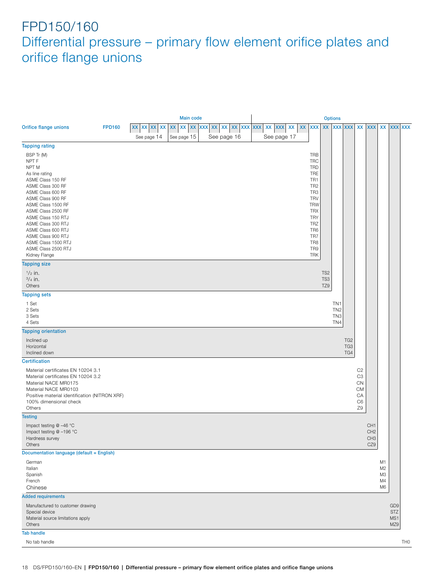<span id="page-17-0"></span>

|                                                                                                                                                                                                                                                                                               | <b>Main code</b> |  |             |  |                     |  |  |  | <b>Options</b> |                         |  |  |             |    |    |                                                                                                                                                                                                               |                               |                                                              |                               |                                                                                   |                                                              |                                                    |                                             |                 |
|-----------------------------------------------------------------------------------------------------------------------------------------------------------------------------------------------------------------------------------------------------------------------------------------------|------------------|--|-------------|--|---------------------|--|--|--|----------------|-------------------------|--|--|-------------|----|----|---------------------------------------------------------------------------------------------------------------------------------------------------------------------------------------------------------------|-------------------------------|--------------------------------------------------------------|-------------------------------|-----------------------------------------------------------------------------------|--------------------------------------------------------------|----------------------------------------------------|---------------------------------------------|-----------------|
| Orifice flange unions                                                                                                                                                                                                                                                                         | <b>FPD160</b>    |  | XX XX XX XX |  | $\pmb{\mathsf{XX}}$ |  |  |  |                | xx xx xx xx xx xx xx xx |  |  | XX XXX      | XX | XX | <b>XXX</b>                                                                                                                                                                                                    |                               |                                                              |                               |                                                                                   | XX XXX XXX XX XXX                                            |                                                    |                                             | XX XXX XXX      |
|                                                                                                                                                                                                                                                                                               |                  |  | See page 14 |  | See page 15         |  |  |  | See page 16    |                         |  |  | See page 17 |    |    |                                                                                                                                                                                                               |                               |                                                              |                               |                                                                                   |                                                              |                                                    |                                             |                 |
| <b>Tapping rating</b>                                                                                                                                                                                                                                                                         |                  |  |             |  |                     |  |  |  |                |                         |  |  |             |    |    |                                                                                                                                                                                                               |                               |                                                              |                               |                                                                                   |                                                              |                                                    |                                             |                 |
| BSP Tr (M)<br>NPT F<br>NPT M<br>As line rating<br>ASME Class 150 RF<br>ASME Class 300 RF<br>ASME Class 600 RF<br>ASME Class 900 RF<br>ASME Class 1500 RF<br>ASME Class 2500 RF<br>ASME Class 150 RTJ<br>ASME Class 300 RTJ<br>ASME Class 600 RTJ<br>ASME Class 900 RTJ<br>ASME Class 1500 RTJ |                  |  |             |  |                     |  |  |  |                |                         |  |  |             |    |    | <b>TRB</b><br><b>TRC</b><br><b>TRD</b><br>TRE<br>TR <sub>1</sub><br>TR <sub>2</sub><br>TR <sub>3</sub><br><b>TRV</b><br><b>TRW</b><br><b>TRX</b><br><b>TRY</b><br><b>TRZ</b><br>TR <sub>6</sub><br>TR7<br>TR8 |                               |                                                              |                               |                                                                                   |                                                              |                                                    |                                             |                 |
| ASME Class 2500 RTJ                                                                                                                                                                                                                                                                           |                  |  |             |  |                     |  |  |  |                |                         |  |  |             |    |    | TR9                                                                                                                                                                                                           |                               |                                                              |                               |                                                                                   |                                                              |                                                    |                                             |                 |
| Kidney Flange<br><b>Tapping size</b>                                                                                                                                                                                                                                                          |                  |  |             |  |                     |  |  |  |                |                         |  |  |             |    |    | <b>TRK</b>                                                                                                                                                                                                    |                               |                                                              |                               |                                                                                   |                                                              |                                                    |                                             |                 |
| $\frac{1}{2}$ in.<br>$\frac{3}{4}$ in.<br>Others                                                                                                                                                                                                                                              |                  |  |             |  |                     |  |  |  |                |                         |  |  |             |    |    |                                                                                                                                                                                                               | TS <sub>2</sub><br>TS3<br>TZ9 |                                                              |                               |                                                                                   |                                                              |                                                    |                                             |                 |
| <b>Tapping sets</b>                                                                                                                                                                                                                                                                           |                  |  |             |  |                     |  |  |  |                |                         |  |  |             |    |    |                                                                                                                                                                                                               |                               |                                                              |                               |                                                                                   |                                                              |                                                    |                                             |                 |
| 1 Set<br>2 Sets<br>3 Sets<br>4 Sets                                                                                                                                                                                                                                                           |                  |  |             |  |                     |  |  |  |                |                         |  |  |             |    |    |                                                                                                                                                                                                               |                               | TN <sub>1</sub><br>TN <sub>2</sub><br>TN <sub>3</sub><br>TN4 |                               |                                                                                   |                                                              |                                                    |                                             |                 |
| <b>Tapping orientation</b>                                                                                                                                                                                                                                                                    |                  |  |             |  |                     |  |  |  |                |                         |  |  |             |    |    |                                                                                                                                                                                                               |                               |                                                              |                               |                                                                                   |                                                              |                                                    |                                             |                 |
| Inclined up<br>Horizontal<br>Inclined down                                                                                                                                                                                                                                                    |                  |  |             |  |                     |  |  |  |                |                         |  |  |             |    |    |                                                                                                                                                                                                               |                               |                                                              | TG <sub>2</sub><br>TG3<br>TG4 |                                                                                   |                                                              |                                                    |                                             |                 |
| <b>Certification</b>                                                                                                                                                                                                                                                                          |                  |  |             |  |                     |  |  |  |                |                         |  |  |             |    |    |                                                                                                                                                                                                               |                               |                                                              |                               |                                                                                   |                                                              |                                                    |                                             |                 |
| Material certificates EN 10204 3.1<br>Material certificates EN 10204 3.2<br>Material NACE MR0175<br>Material NACE MR0103<br>Positive material identification (NITRON XRF)<br>100% dimensional check<br>Others                                                                                 |                  |  |             |  |                     |  |  |  |                |                         |  |  |             |    |    |                                                                                                                                                                                                               |                               |                                                              |                               | C <sub>2</sub><br>C <sub>3</sub><br>CN<br><b>CM</b><br>CA<br>C <sub>6</sub><br>Z9 |                                                              |                                                    |                                             |                 |
| <b>Testing</b>                                                                                                                                                                                                                                                                                |                  |  |             |  |                     |  |  |  |                |                         |  |  |             |    |    |                                                                                                                                                                                                               |                               |                                                              |                               |                                                                                   |                                                              |                                                    |                                             |                 |
| Impact testing @ -46 °C<br>Impact testing @ -196 °C<br>Hardness survey<br>Others                                                                                                                                                                                                              |                  |  |             |  |                     |  |  |  |                |                         |  |  |             |    |    |                                                                                                                                                                                                               |                               |                                                              |                               |                                                                                   | CH <sub>1</sub><br>CH <sub>2</sub><br>CH <sub>3</sub><br>CZ9 |                                                    |                                             |                 |
| Documentation language (default = English)                                                                                                                                                                                                                                                    |                  |  |             |  |                     |  |  |  |                |                         |  |  |             |    |    |                                                                                                                                                                                                               |                               |                                                              |                               |                                                                                   |                                                              |                                                    |                                             |                 |
| German<br>Italian<br>Spanish<br>French<br>Chinese                                                                                                                                                                                                                                             |                  |  |             |  |                     |  |  |  |                |                         |  |  |             |    |    |                                                                                                                                                                                                               |                               |                                                              |                               |                                                                                   |                                                              | M1<br>M <sub>2</sub><br>M3<br>M4<br>M <sub>6</sub> |                                             |                 |
| <b>Added requirements</b>                                                                                                                                                                                                                                                                     |                  |  |             |  |                     |  |  |  |                |                         |  |  |             |    |    |                                                                                                                                                                                                               |                               |                                                              |                               |                                                                                   |                                                              |                                                    |                                             |                 |
| Manufactured to customer drawing<br>Special device<br>Material source limitations apply<br>Others                                                                                                                                                                                             |                  |  |             |  |                     |  |  |  |                |                         |  |  |             |    |    |                                                                                                                                                                                                               |                               |                                                              |                               |                                                                                   |                                                              |                                                    | GD <sub>9</sub><br><b>STZ</b><br>MS1<br>MZ9 |                 |
| <b>Tab handle</b>                                                                                                                                                                                                                                                                             |                  |  |             |  |                     |  |  |  |                |                         |  |  |             |    |    |                                                                                                                                                                                                               |                               |                                                              |                               |                                                                                   |                                                              |                                                    |                                             |                 |
| No tab handle                                                                                                                                                                                                                                                                                 |                  |  |             |  |                     |  |  |  |                |                         |  |  |             |    |    |                                                                                                                                                                                                               |                               |                                                              |                               |                                                                                   |                                                              |                                                    |                                             | TH <sub>0</sub> |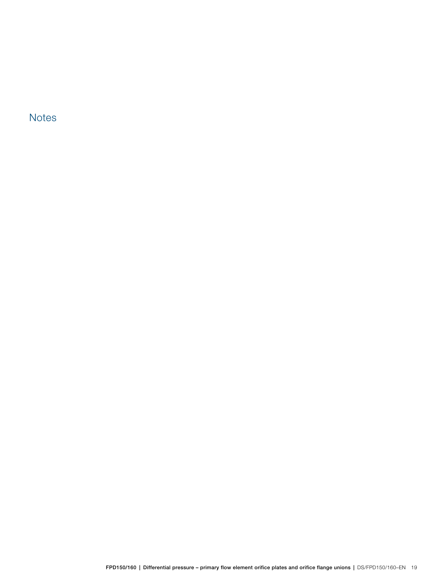**Notes**